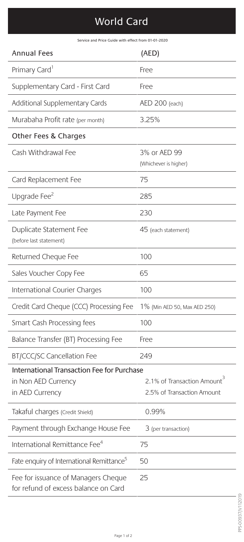## World Card

Service and Price Guide with effect from 01-01-2020

| <b>Annual Fees</b>                                                                   | (AED)                                                                 |
|--------------------------------------------------------------------------------------|-----------------------------------------------------------------------|
| Primary Card <sup>1</sup>                                                            | Free                                                                  |
| Supplementary Card - First Card                                                      | Free                                                                  |
| Additional Supplementary Cards                                                       | AED 200 (each)                                                        |
| Murabaha Profit rate (per month)                                                     | 3.25%                                                                 |
| Other Fees & Charges                                                                 |                                                                       |
| Cash Withdrawal Fee                                                                  | 3% or AED 99<br>(Whichever is higher)                                 |
| Card Replacement Fee                                                                 | 75                                                                    |
| Upgrade Fee <sup>2</sup>                                                             | 285                                                                   |
| Late Payment Fee                                                                     | 230                                                                   |
| Duplicate Statement Fee<br>(before last statement)                                   | 45 (each statement)                                                   |
| Returned Cheque Fee                                                                  | 100                                                                   |
| Sales Voucher Copy Fee                                                               | 65                                                                    |
| International Courier Charges                                                        | 100                                                                   |
| Credit Card Cheque (CCC) Processing Fee                                              | 1% (Min AED 50, Max AED 250)                                          |
| Smart Cash Processing fees                                                           | 100                                                                   |
| Balance Transfer (BT) Processing Fee                                                 | Free                                                                  |
| <b>BT/CCC/SC Cancellation Fee</b>                                                    | 249                                                                   |
| International Transaction Fee for Purchase<br>in Non AED Currency<br>in AED Currency | 2.1% of Transaction Amount <sup>3</sup><br>2.5% of Transaction Amount |
| Takaful charges (Credit Shield)                                                      | 0.99%                                                                 |
| Payment through Exchange House Fee                                                   | 3 (per transaction)                                                   |
| International Remittance Fee <sup>4</sup>                                            | 75                                                                    |
| Fate enquiry of International Remittance <sup>5</sup>                                | 50                                                                    |
| Fee for issuance of Managers Cheque<br>for refund of excess balance on Card          | 25                                                                    |